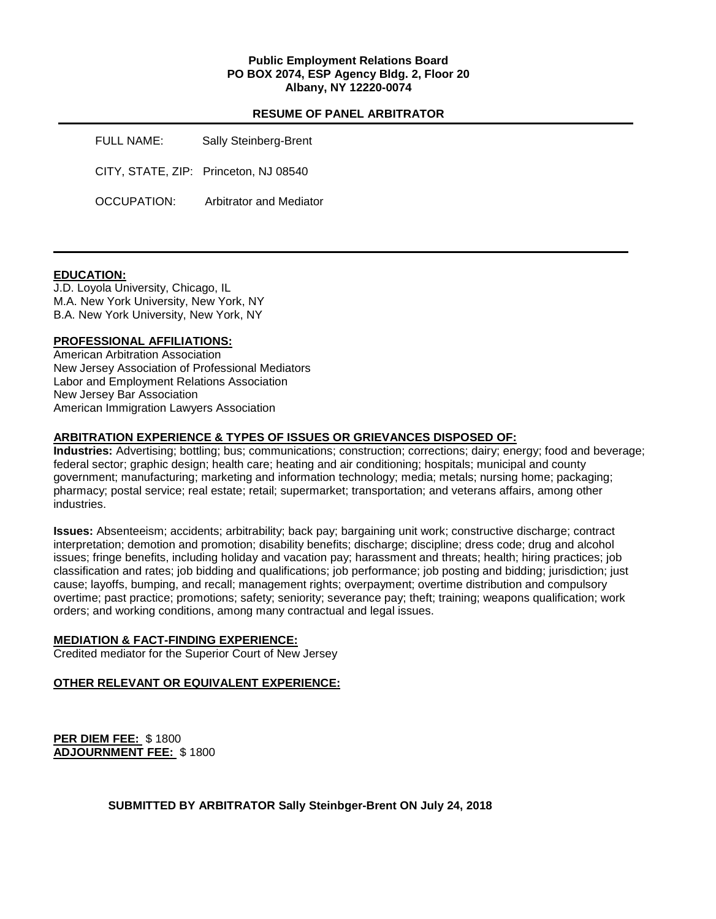### **Public Employment Relations Board PO BOX 2074, ESP Agency Bldg. 2, Floor 20 Albany, NY 12220-0074**

### **RESUME OF PANEL ARBITRATOR**

FULL NAME: Sally Steinberg-Brent CITY, STATE, ZIP: Princeton, NJ 08540 OCCUPATION: Arbitrator and Mediator

### **EDUCATION:**

J.D. Loyola University, Chicago, IL M.A. New York University, New York, NY B.A. New York University, New York, NY

### **PROFESSIONAL AFFILIATIONS:**

American Arbitration Association New Jersey Association of Professional Mediators Labor and Employment Relations Association New Jersey Bar Association American Immigration Lawyers Association

### **ARBITRATION EXPERIENCE & TYPES OF ISSUES OR GRIEVANCES DISPOSED OF:**

**Industries:** Advertising; bottling; bus; communications; construction; corrections; dairy; energy; food and beverage; federal sector; graphic design; health care; heating and air conditioning; hospitals; municipal and county government; manufacturing; marketing and information technology; media; metals; nursing home; packaging; pharmacy; postal service; real estate; retail; supermarket; transportation; and veterans affairs, among other industries.

**Issues:** Absenteeism; accidents; arbitrability; back pay; bargaining unit work; constructive discharge; contract interpretation; demotion and promotion; disability benefits; discharge; discipline; dress code; drug and alcohol issues; fringe benefits, including holiday and vacation pay; harassment and threats; health; hiring practices; job classification and rates; job bidding and qualifications; job performance; job posting and bidding; jurisdiction; just cause; layoffs, bumping, and recall; management rights; overpayment; overtime distribution and compulsory overtime; past practice; promotions; safety; seniority; severance pay; theft; training; weapons qualification; work orders; and working conditions, among many contractual and legal issues.

#### **MEDIATION & FACT-FINDING EXPERIENCE:**

Credited mediator for the Superior Court of New Jersey

### **OTHER RELEVANT OR EQUIVALENT EXPERIENCE:**

**PER DIEM FEE:** \$ 1800 **ADJOURNMENT FEE:** \$ 1800

**SUBMITTED BY ARBITRATOR Sally Steinbger-Brent ON July 24, 2018**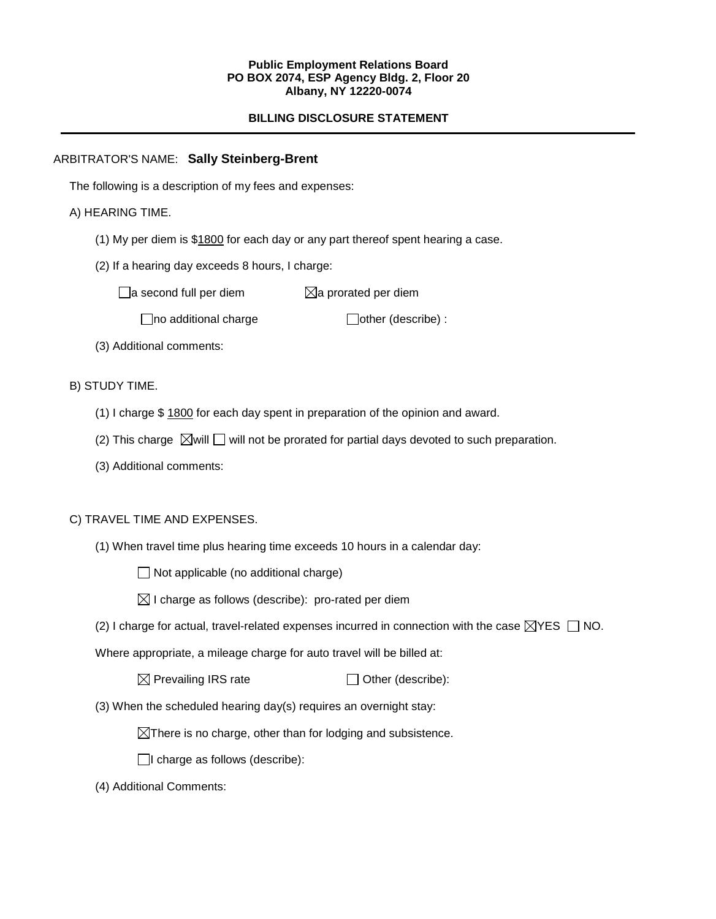### **Public Employment Relations Board PO BOX 2074, ESP Agency Bldg. 2, Floor 20 Albany, NY 12220-0074**

# **BILLING DISCLOSURE STATEMENT**

# ARBITRATOR'S NAME: **Sally Steinberg-Brent**

The following is a description of my fees and expenses:

# A) HEARING TIME.

- (1) My per diem is \$1800 for each day or any part thereof spent hearing a case.
- (2) If a hearing day exceeds 8 hours, I charge:

 $\Box$ a second full per diem  $\boxtimes$ a prorated per diem

 $\Box$ no additional charge  $\Box$ other (describe) :

(3) Additional comments:

B) STUDY TIME.

- (1) I charge \$ 1800 for each day spent in preparation of the opinion and award.
- (2) This charge  $\boxtimes$  will  $\Box$  will not be prorated for partial days devoted to such preparation.
- (3) Additional comments:

# C) TRAVEL TIME AND EXPENSES.

(1) When travel time plus hearing time exceeds 10 hours in a calendar day:

 $\Box$  Not applicable (no additional charge)

- $\boxtimes$  I charge as follows (describe): pro-rated per diem
- (2) I charge for actual, travel-related expenses incurred in connection with the case  $\boxtimes$ YES  $\Box$  NO.

Where appropriate, a mileage charge for auto travel will be billed at:

 $\boxtimes$  Prevailing IRS rate  $\Box$  Other (describe):

(3) When the scheduled hearing day(s) requires an overnight stay:

 $\boxtimes$ There is no charge, other than for lodging and subsistence.

 $\Box$ I charge as follows (describe):

(4) Additional Comments: